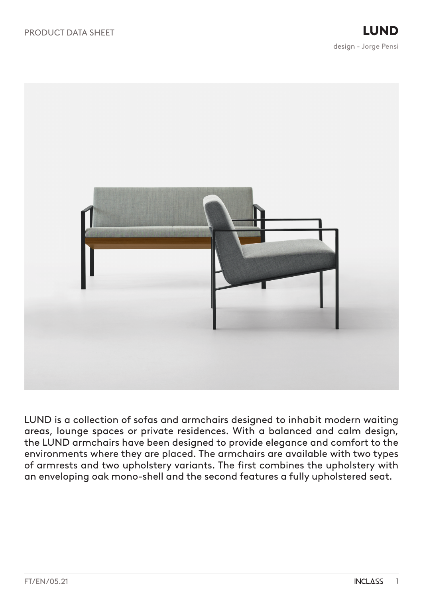

LUND is a collection of sofas and armchairs designed to inhabit modern waiting areas, lounge spaces or private residences. With a balanced and calm design, the LUND armchairs have been designed to provide elegance and comfort to the environments where they are placed. The armchairs are available with two types of armrests and two upholstery variants. The first combines the upholstery with an enveloping oak mono-shell and the second features a fully upholstered seat.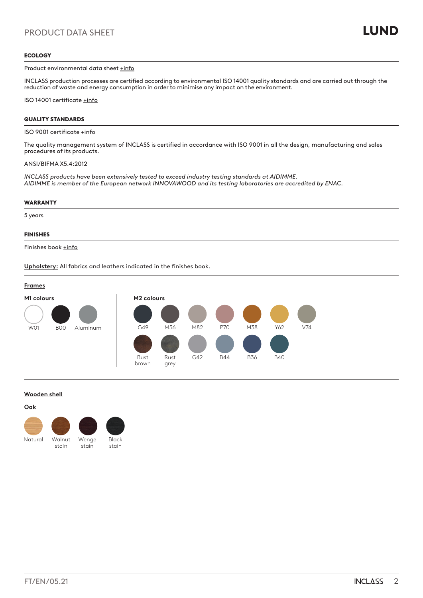## **ECOLOGY**

Product environmental data sheet [+info](https://inclass.es/wp-content/files_mf/1623423730FM_LUND_ENG.pdf)

INCLASS production processes are certified according to environmental ISO 14001 quality standards and are carried out through the reduction of waste and energy consumption in order to minimise any impact on the environment.

ISO 14001 certificate [+info](https://inclass.es/wp-content/files_mf/1589894317INCLASS_ISO14001_2019.pdf)

## QUALITY STANDARDS

### ISO 9001 certificate [+info](https://inclass.es/wp-content/files_mf/1587536904INCLASS_ISO9001_2019.pdf)

The quality management system of INCLASS is certified in accordance with ISO 9001 in all the design, manufacturing and sales procedures of its products.

## ANSI/BIFMA X5.4:2012

*INCLASS products have been extensively tested to exceed industry testing standards at AIDIMME. AIDIMME is member of the European network INNOVAWOOD and its testing laboratories are accredited by ENAC.*

### WARRANTY

5 years

## FINISHES

Finishes book [+info](https://inclass.es/wp-content/files_mf/1580138211LUNDSwatchBook.pdf)

**Upholstery:** All fabrics and leathers indicated in the finishes book.



## **Wooden shell**

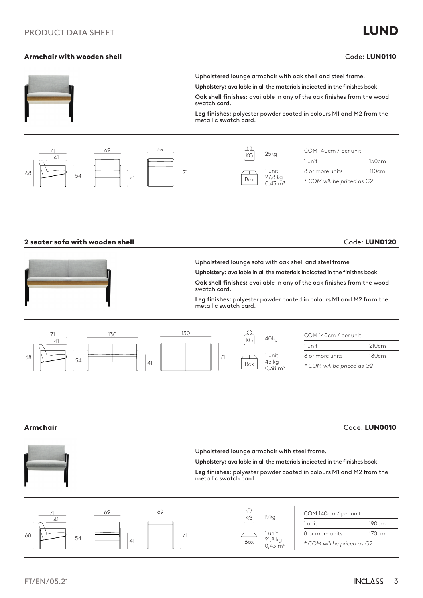# Armchair with wooden shell and the code: LUN0110 code: LUN0110





## 2 seater sofa with wooden shell Code: LUN0120





Armchair Code: LUN0010 Upholstered lounge armchair with steel frame. **Upholstery:** available in all the materials indicated in the finishes book. **Leg finishes:** polyester powder coated in colours M1 and M2 from the metallic swatch card. 69 69 ◯ 71 COM 140cm / per unit  $KG$  19kg 41 1 unit 190cm 71 1 unit 8 or more units 170cm 68 ┯ 5421,8 kg 41 Box *\* COM will be priced as G2*  $0,43 \, \text{m}^3$